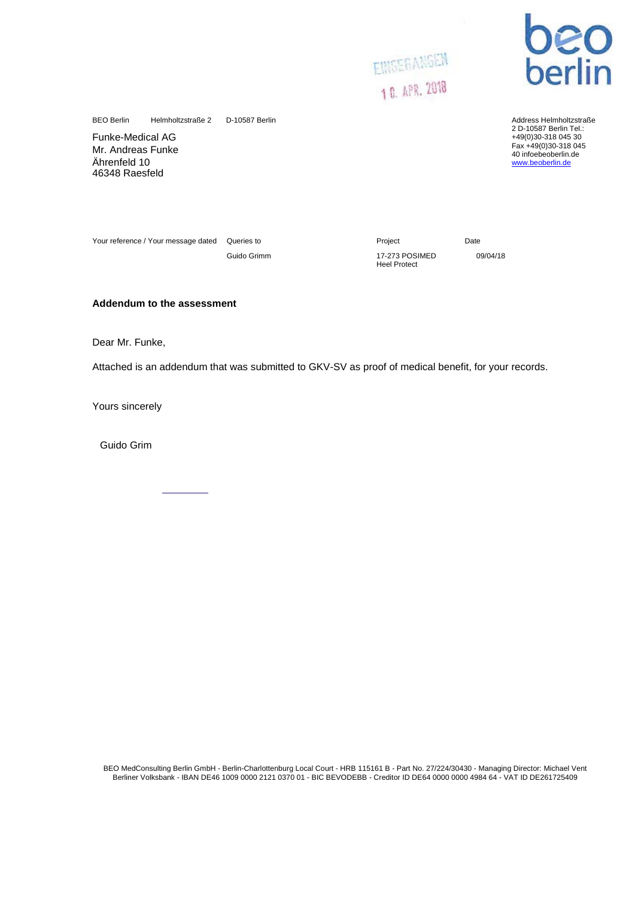



D-10587 Berlin Address Helmholtzstraße 2 D-10587 Berlin Tel.: +49(0)30-318 045 30 Fax +49(0)30-318 045 40 infoebeoberlin.de<br>[www.beoberlin.de](http://www.beoberlin.de/)

BEO Berlin Helmholtzstraße 2

Funke-Medical AG Mr. Andreas Funke Ährenfeld 10 46348 Raesfeld

Your reference / Your message dated Queries to **Project** Project **Date** 

Guido Grimm 17-273 POSIMED 09/04/18 Heel Protect

## **Addendum to the assessment**

Dear Mr. Funke,

Attached is an addendum that was submitted to GKV-SV as proof of medical benefit, for your records.

Yours sincerely

Guido Grim

BEO MedConsulting Berlin GmbH - Berlin-Charlottenburg Local Court - HRB 115161 B - Part No. 27/224/30430 - Managing Director: Michael Vent Berliner Volksbank - IBAN DE46 1009 0000 2121 0370 01 - BIC BEVODEBB - Creditor ID DE64 0000 0000 4984 64 - VAT ID DE261725409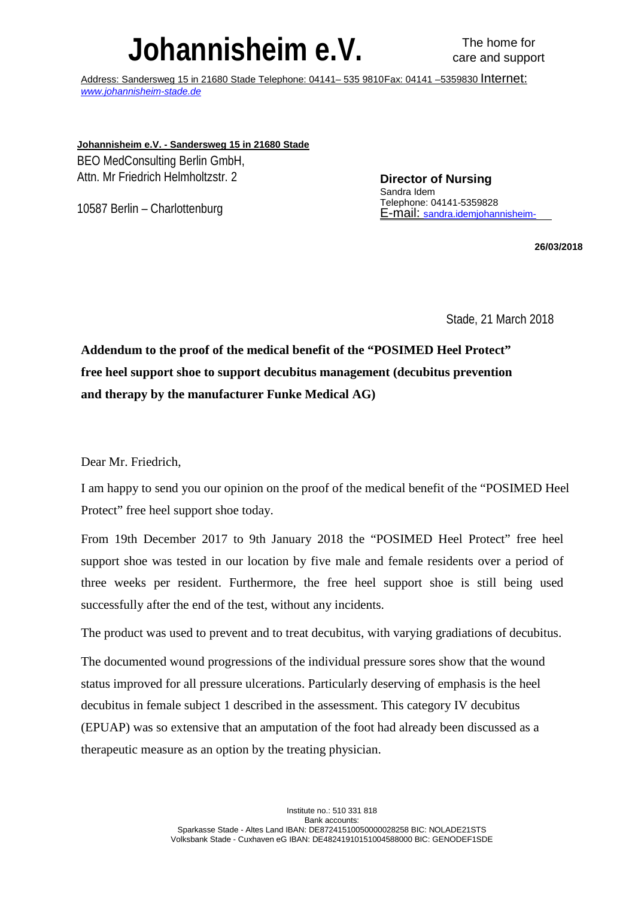## **Johannisheim e.V.** The home for

Address: Sandersweg 15 in 21680 Stade Telephone: 04141– 535 9810Fax: 04141 –5359830 Internet: *[www.johannisheim-stade.de](http://www.johannisheim-stade.de/)*

**Johannisheim e.V. - Sandersweg 15 in 21680 Stade**

BEO MedConsulting Berlin GmbH, Attn. Mr Friedrich Helmholtzstr. 2

10587 Berlin – Charlottenburg

**Director of Nursing** Sandra Idem Telephone: 04141-5359828 [E-mail: sandra.idemjohannisheim-](http://sandra.idemjohannisheim-stade.de/)

**26/03/2018**

Stade, 21 March 2018

**Addendum to the proof of the medical benefit of the "POSIMED Heel Protect" free heel support shoe to support decubitus management (decubitus prevention and therapy by the manufacturer Funke Medical AG)**

Dear Mr. Friedrich,

I am happy to send you our opinion on the proof of the medical benefit of the "POSIMED Heel Protect" free heel support shoe today.

From 19th December 2017 to 9th January 2018 the "POSIMED Heel Protect" free heel support shoe was tested in our location by five male and female residents over a period of three weeks per resident. Furthermore, the free heel support shoe is still being used successfully after the end of the test, without any incidents.

The product was used to prevent and to treat decubitus, with varying gradiations of decubitus.

The documented wound progressions of the individual pressure sores show that the wound status improved for all pressure ulcerations. Particularly deserving of emphasis is the heel decubitus in female subject 1 described in the assessment. This category IV decubitus (EPUAP) was so extensive that an amputation of the foot had already been discussed as a therapeutic measure as an option by the treating physician.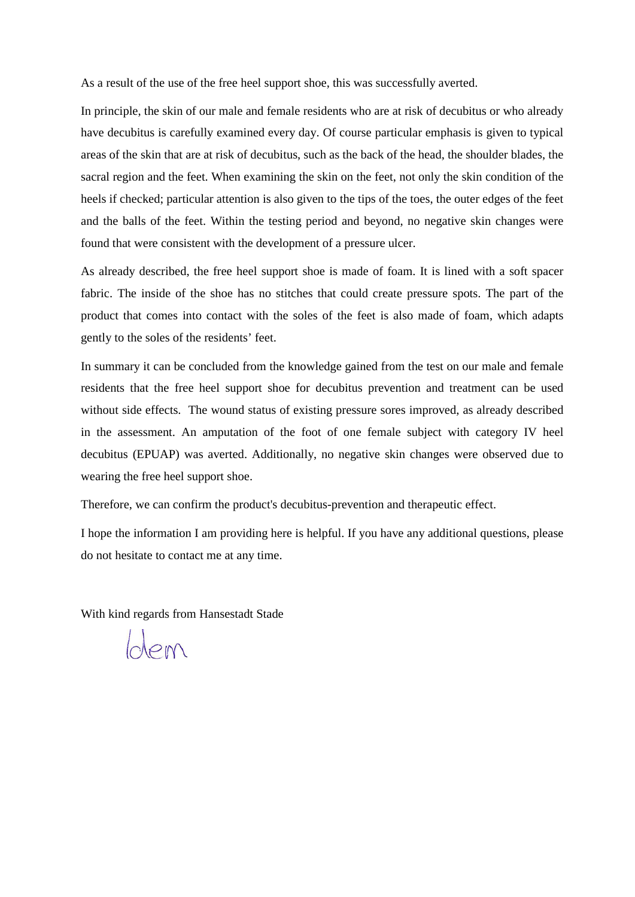As a result of the use of the free heel support shoe, this was successfully averted.

In principle, the skin of our male and female residents who are at risk of decubitus or who already have decubitus is carefully examined every day. Of course particular emphasis is given to typical areas of the skin that are at risk of decubitus, such as the back of the head, the shoulder blades, the sacral region and the feet. When examining the skin on the feet, not only the skin condition of the heels if checked; particular attention is also given to the tips of the toes, the outer edges of the feet and the balls of the feet. Within the testing period and beyond, no negative skin changes were found that were consistent with the development of a pressure ulcer.

As already described, the free heel support shoe is made of foam. It is lined with a soft spacer fabric. The inside of the shoe has no stitches that could create pressure spots. The part of the product that comes into contact with the soles of the feet is also made of foam, which adapts gently to the soles of the residents' feet.

In summary it can be concluded from the knowledge gained from the test on our male and female residents that the free heel support shoe for decubitus prevention and treatment can be used without side effects. The wound status of existing pressure sores improved, as already described in the assessment. An amputation of the foot of one female subject with category IV heel decubitus (EPUAP) was averted. Additionally, no negative skin changes were observed due to wearing the free heel support shoe.

Therefore, we can confirm the product's decubitus-prevention and therapeutic effect.

I hope the information I am providing here is helpful. If you have any additional questions, please do not hesitate to contact me at any time.

With kind regards from Hansestadt Stade

Glem